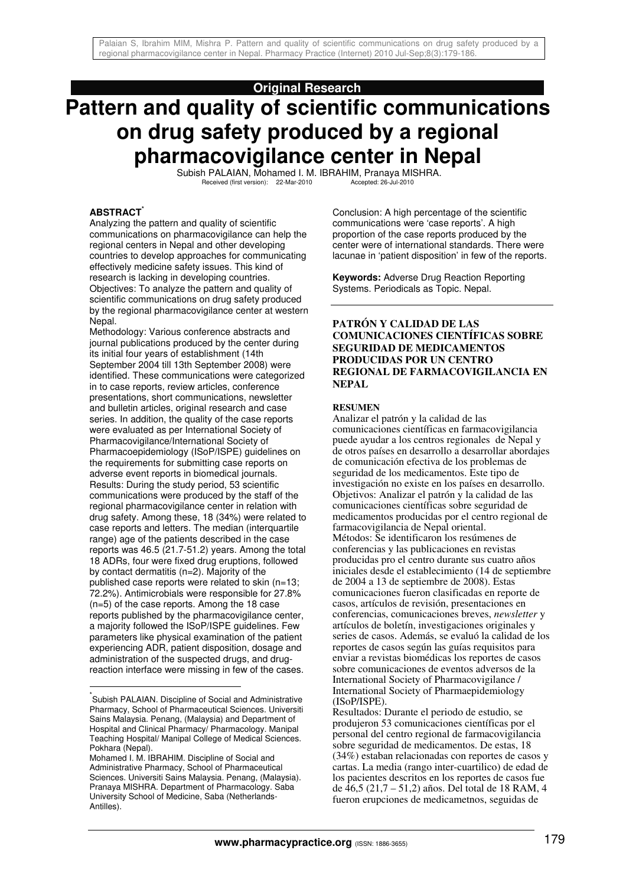# **Original Research**

# **Pattern and quality of scientific communications on drug safety produced by a regional pharmacovigilance center in Nepal**

Subish PALAIAN, Mohamed I. M. IBRAHIM, Pranaya MISHRA.<br>Received (first version): 22-Mar-2010 Accepted: 26-Jul-2010 Received (first version): 22-Mar-2010

## **ABSTRACT\***

Analyzing the pattern and quality of scientific communications on pharmacovigilance can help the regional centers in Nepal and other developing countries to develop approaches for communicating effectively medicine safety issues. This kind of research is lacking in developing countries. Objectives: To analyze the pattern and quality of scientific communications on drug safety produced by the regional pharmacovigilance center at western Nepal.

Methodology: Various conference abstracts and journal publications produced by the center during its initial four years of establishment (14th September 2004 till 13th September 2008) were identified. These communications were categorized in to case reports, review articles, conference presentations, short communications, newsletter and bulletin articles, original research and case series. In addition, the quality of the case reports were evaluated as per International Society of Pharmacovigilance/International Society of Pharmacoepidemiology (ISoP/ISPE) guidelines on the requirements for submitting case reports on adverse event reports in biomedical journals. Results: During the study period, 53 scientific communications were produced by the staff of the regional pharmacovigilance center in relation with drug safety. Among these, 18 (34%) were related to case reports and letters. The median (interquartile range) age of the patients described in the case reports was 46.5 (21.7-51.2) years. Among the total 18 ADRs, four were fixed drug eruptions, followed by contact dermatitis (n=2). Majority of the published case reports were related to skin (n=13; 72.2%). Antimicrobials were responsible for 27.8% (n=5) of the case reports. Among the 18 case reports published by the pharmacovigilance center, a majority followed the ISoP/ISPE guidelines. Few parameters like physical examination of the patient experiencing ADR, patient disposition, dosage and administration of the suspected drugs, and drugreaction interface were missing in few of the cases.

 $\overline{\phantom{a}}$ 

Conclusion: A high percentage of the scientific communications were 'case reports'. A high proportion of the case reports produced by the center were of international standards. There were lacunae in 'patient disposition' in few of the reports.

**Keywords:** Adverse Drug Reaction Reporting Systems. Periodicals as Topic. Nepal.

## **PATRÓN Y CALIDAD DE LAS COMUNICACIONES CIENTÍFICAS SOBRE SEGURIDAD DE MEDICAMENTOS PRODUCIDAS POR UN CENTRO REGIONAL DE FARMACOVIGILANCIA EN NEPAL**

## **RESUMEN**

Analizar el patrón y la calidad de las comunicaciones científicas en farmacovigilancia puede ayudar a los centros regionales de Nepal y de otros países en desarrollo a desarrollar abordajes de comunicación efectiva de los problemas de seguridad de los medicamentos. Este tipo de investigación no existe en los países en desarrollo. Objetivos: Analizar el patrón y la calidad de las comunicaciones científicas sobre seguridad de medicamentos producidas por el centro regional de farmacovigilancia de Nepal oriental. Métodos: Se identificaron los resúmenes de conferencias y las publicaciones en revistas producidas pro el centro durante sus cuatro años iniciales desde el establecimiento (14 de septiembre de 2004 a 13 de septiembre de 2008). Estas comunicaciones fueron clasificadas en reporte de casos, artículos de revisión, presentaciones en conferencias, comunicaciones breves, *newsletter* y artículos de boletín, investigaciones originales y series de casos. Además, se evaluó la calidad de los reportes de casos según las guías requisitos para enviar a revistas biomédicas los reportes de casos sobre comunicaciones de eventos adversos de la International Society of Pharmacovigilance / International Society of Pharmaepidemiology (ISoP/ISPE).

Resultados: Durante el periodo de estudio, se produjeron 53 comunicaciones científicas por el personal del centro regional de farmacovigilancia sobre seguridad de medicamentos. De estas, 18 (34%) estaban relacionadas con reportes de casos y cartas. La media (rango inter-cuartilico) de edad de los pacientes descritos en los reportes de casos fue de 46,5 (21,7 – 51,2) años. Del total de 18 RAM, 4 fueron erupciones de medicametnos, seguidas de

<sup>\*</sup> Subish PALAIAN. Discipline of Social and Administrative Pharmacy, School of Pharmaceutical Sciences. Universiti Sains Malaysia. Penang, (Malaysia) and Department of Hospital and Clinical Pharmacy/ Pharmacology. Manipal Teaching Hospital/ Manipal College of Medical Sciences. Pokhara (Nepal).

Mohamed I. M. IBRAHIM. Discipline of Social and Administrative Pharmacy, School of Pharmaceutical Sciences. Universiti Sains Malaysia. Penang, (Malaysia). Pranaya MISHRA. Department of Pharmacology. Saba University School of Medicine, Saba (Netherlands-Antilles).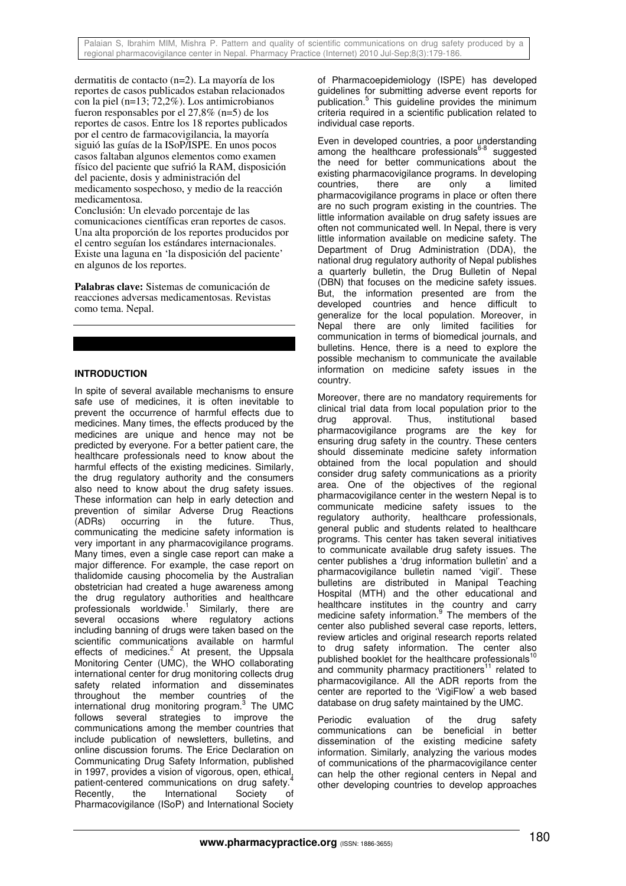Palaian S, Ibrahim MIM, Mishra P. Pattern and quality of scientific communications on drug safety produced by a regional pharmacovigilance center in Nepal. Pharmacy Practice (Internet) 2010 Jul-Sep;8(3):179-186.

dermatitis de contacto (n=2). La mayoría de los reportes de casos publicados estaban relacionados con la piel (n=13; 72,2%). Los antimicrobianos fueron responsables por el 27,8% (n=5) de los reportes de casos. Entre los 18 reportes publicados por el centro de farmacovigilancia, la mayoría siguió las guías de la ISoP/ISPE. En unos pocos casos faltaban algunos elementos como examen físico del paciente que sufrió la RAM, disposición del paciente, dosis y administración del medicamento sospechoso, y medio de la reacción medicamentosa.

Conclusión: Un elevado porcentaje de las comunicaciones científicas eran reportes de casos. Una alta proporción de los reportes producidos por el centro seguían los estándares internacionales. Existe una laguna en 'la disposición del paciente' en algunos de los reportes.

**Palabras clave:** Sistemas de comunicación de reacciones adversas medicamentosas. Revistas como tema. Nepal.

# **INTRODUCTION**

In spite of several available mechanisms to ensure safe use of medicines, it is often inevitable to prevent the occurrence of harmful effects due to medicines. Many times, the effects produced by the medicines are unique and hence may not be predicted by everyone. For a better patient care, the healthcare professionals need to know about the harmful effects of the existing medicines. Similarly, the drug regulatory authority and the consumers also need to know about the drug safety issues. These information can help in early detection and prevention of similar Adverse Drug Reactions<br>(ADRs) occurring in the future. Thus, occurring in the future. Thus, communicating the medicine safety information is very important in any pharmacovigilance programs. Many times, even a single case report can make a major difference. For example, the case report on thalidomide causing phocomelia by the Australian obstetrician had created a huge awareness among the drug regulatory authorities and healthcare professionals worldwide.<sup>1</sup> Similarly, there are several occasions where regulatory actions including banning of drugs were taken based on the scientific communications available on harmful effects of medicines.<sup>2</sup> At present, the Uppsala Monitoring Center (UMC), the WHO collaborating international center for drug monitoring collects drug safety related information and disseminates throughout the member countries of the international drug monitoring program.<sup>3</sup> The UMC follows several strategies to improve the communications among the member countries that include publication of newsletters, bulletins, and online discussion forums. The Erice Declaration on Communicating Drug Safety Information, published in 1997, provides a vision of vigorous, open, ethical, patient-centered communications on drug safety. Recently, the International Society of Pharmacovigilance (ISoP) and International Society

of Pharmacoepidemiology (ISPE) has developed guidelines for submitting adverse event reports for publication.<sup>5</sup> This guideline provides the minimum criteria required in a scientific publication related to individual case reports.

Even in developed countries, a poor understanding among the healthcare professionals $6-8$  suggested the need for better communications about the existing pharmacovigilance programs. In developing<br>countries, there are only a limited countries, there are only a limited pharmacovigilance programs in place or often there are no such program existing in the countries. The little information available on drug safety issues are often not communicated well. In Nepal, there is very little information available on medicine safety. The Department of Drug Administration (DDA), the national drug regulatory authority of Nepal publishes a quarterly bulletin, the Drug Bulletin of Nepal (DBN) that focuses on the medicine safety issues. But, the information presented are from the developed countries and hence difficult to generalize for the local population. Moreover, in Nepal there are only limited facilities for communication in terms of biomedical journals, and bulletins. Hence, there is a need to explore the possible mechanism to communicate the available information on medicine safety issues in the country.

Moreover, there are no mandatory requirements for clinical trial data from local population prior to the drug approval. Thus, institutional based pharmacovigilance programs are the key for ensuring drug safety in the country. These centers should disseminate medicine safety information obtained from the local population and should consider drug safety communications as a priority area. One of the objectives of the regional pharmacovigilance center in the western Nepal is to communicate medicine safety issues to the regulatory authority, healthcare professionals, general public and students related to healthcare programs. This center has taken several initiatives to communicate available drug safety issues. The center publishes a 'drug information bulletin' and a pharmacovigilance bulletin named 'vigil'. These bulletins are distributed in Manipal Teaching Hospital (MTH) and the other educational and healthcare institutes in the country and carry medicine safety information.<sup>9</sup> The members of the center also published several case reports, letters, review articles and original research reports related to drug safety information. The center also published booklet for the healthcare professionals and community pharmacy practitioners<sup>11</sup> related to pharmacovigilance. All the ADR reports from the center are reported to the 'VigiFlow' a web based database on drug safety maintained by the UMC.

Periodic evaluation of the drug safety communications can be beneficial in better dissemination of the existing medicine safety information. Similarly, analyzing the various modes of communications of the pharmacovigilance center can help the other regional centers in Nepal and other developing countries to develop approaches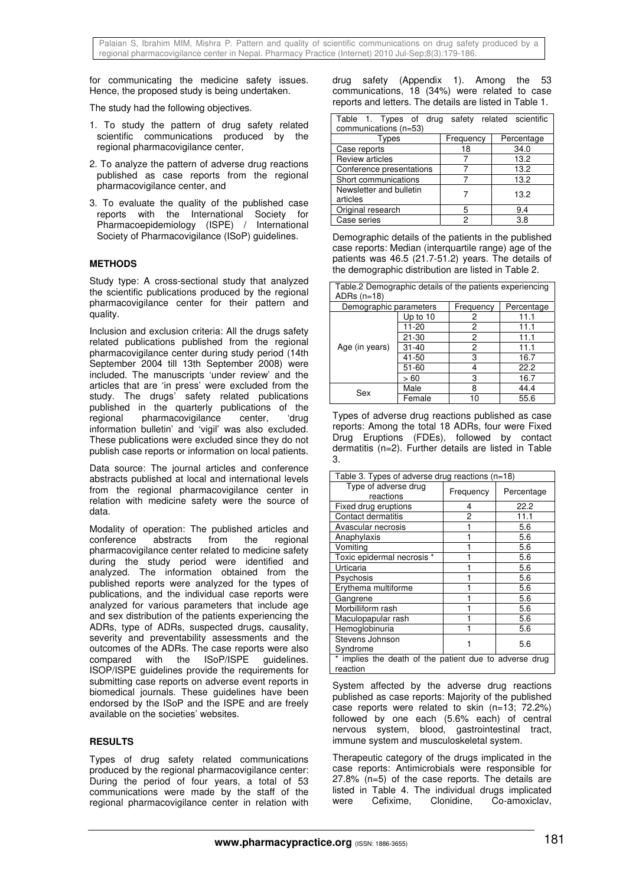for communicating the medicine safety issues. Hence, the proposed study is being undertaken.

The study had the following objectives.

- 1. To study the pattern of drug safety related scientific communications produced by the regional pharmacovigilance center,
- 2. To analyze the pattern of adverse drug reactions published as case reports from the regional pharmacovigilance center, and
- 3. To evaluate the quality of the published case reports with the International Society for Pharmacoepidemiology (ISPE) / International Society of Pharmacovigilance (ISoP) guidelines.

## **METHODS**

Study type: A cross-sectional study that analyzed the scientific publications produced by the regional pharmacovigilance center for their pattern and quality.

Inclusion and exclusion criteria: All the drugs safety related publications published from the regional pharmacovigilance center during study period (14th September 2004 till 13th September 2008) were included. The manuscripts 'under review' and the articles that are 'in press' were excluded from the study. The drugs' safety related publications published in the quarterly publications of the regional pharmacovigilance center, 'drug information bulletin' and 'vigil' was also excluded. These publications were excluded since they do not publish case reports or information on local patients.

Data source: The journal articles and conference abstracts published at local and international levels from the regional pharmacovigilance center in relation with medicine safety were the source of data.

Modality of operation: The published articles and conference abstracts from the regional pharmacovigilance center related to medicine safety during the study period were identified and analyzed. The information obtained from the published reports were analyzed for the types of publications, and the individual case reports were analyzed for various parameters that include age and sex distribution of the patients experiencing the ADRs, type of ADRs, suspected drugs, causality, severity and preventability assessments and the outcomes of the ADRs. The case reports were also compared with the ISoP/ISPE guidelines. ISOP/ISPE guidelines provide the requirements for submitting case reports on adverse event reports in biomedical journals. These guidelines have been endorsed by the ISoP and the ISPE and are freely available on the societies' websites.

## **RESULTS**

Types of drug safety related communications produced by the regional pharmacovigilance center: During the period of four years, a total of 53 communications were made by the staff of the regional pharmacovigilance center in relation with

drug safety (Appendix 1). Among the 53 communications, 18 (34%) were related to case reports and letters. The details are listed in Table 1.

| Table 1. Types of drug safety related scientific<br>communications (n=53) |           |            |  |  |
|---------------------------------------------------------------------------|-----------|------------|--|--|
| Types                                                                     | Frequency | Percentage |  |  |
| Case reports                                                              | 18        | 34.0       |  |  |
| <b>Review articles</b>                                                    |           | 13.2       |  |  |
| Conference presentations                                                  |           | 13.2       |  |  |
| Short communications                                                      |           | 13.2       |  |  |
| Newsletter and bulletin<br>articles                                       |           | 13.2       |  |  |
| Original research                                                         | 5         | 9.4        |  |  |
| Case series                                                               | 2         | 3.8        |  |  |

Demographic details of the patients in the published case reports: Median (interquartile range) age of the patients was 46.5 (21.7-51.2) years. The details of the demographic distribution are listed in Table 2.

| Table.2 Demographic details of the patients experiencing<br>ADRs $(n=18)$ |                                     |    |            |  |
|---------------------------------------------------------------------------|-------------------------------------|----|------------|--|
|                                                                           | Demographic parameters<br>Frequency |    | Percentage |  |
| Age (in years)                                                            | Up to $10$                          | 2  | 11.1       |  |
|                                                                           | 11-20                               | 2  | 11.1       |  |
|                                                                           | 21-30                               | 2  | 11.1       |  |
|                                                                           | $31 - 40$                           | 2  | 11.1       |  |
|                                                                           | 41-50                               | 3  | 16.7       |  |
|                                                                           | $51 - 60$                           | Δ  | 22.2       |  |
|                                                                           | >60                                 | 3  | 16.7       |  |
| Sex                                                                       | Male                                | 8  | 44.4       |  |
|                                                                           | Female                              | 10 | 55.6       |  |

Types of adverse drug reactions published as case reports: Among the total 18 ADRs, four were Fixed Drug Eruptions (FDEs), followed by contact dermatitis (n=2). Further details are listed in Table 3.

| Table 3. Types of adverse drug reactions (n=18)                    |           |            |  |
|--------------------------------------------------------------------|-----------|------------|--|
| Type of adverse drug<br>reactions                                  | Frequency | Percentage |  |
| Fixed drug eruptions                                               | 4         | 22.2       |  |
| Contact dermatitis                                                 | 2         | 11.1       |  |
| Avascular necrosis                                                 |           | 5.6        |  |
| Anaphylaxis                                                        |           | 5.6        |  |
| Vomiting                                                           |           | 5.6        |  |
| Toxic epidermal necrosis *                                         |           | 5.6        |  |
| Urticaria                                                          |           | 5.6        |  |
| Psychosis                                                          |           | 5.6        |  |
| Erythema multiforme                                                |           | 5.6        |  |
| Gangrene                                                           |           | 5.6        |  |
| Morbilliform rash                                                  |           | 5.6        |  |
| Maculopapular rash                                                 |           | 5.6        |  |
| Hemoglobinuria                                                     |           | 5.6        |  |
| Stevens Johnson<br>Syndrome                                        |           | 5.6        |  |
| * implies the death of the patient due to adverse drug<br>reaction |           |            |  |

System affected by the adverse drug reactions published as case reports: Majority of the published case reports were related to skin (n=13; 72.2%) followed by one each (5.6% each) of central nervous system, blood, gastrointestinal tract, immune system and musculoskeletal system.

Therapeutic category of the drugs implicated in the case reports: Antimicrobials were responsible for 27.8% (n=5) of the case reports. The details are listed in Table 4. The individual drugs implicated were Cefixime, Clonidine, Co-amoxiclav,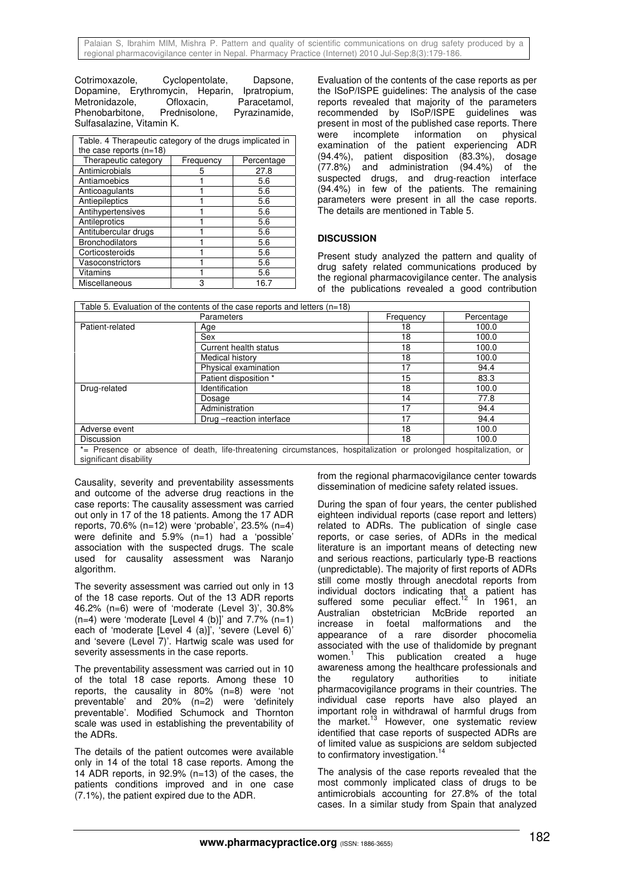Cotrimoxazole, Cyclopentolate, Dapsone, Dopamine, Erythromycin, Heparin, Ipratropium,<br>Metronidazole. Ofloxacin. Paracetamol. Ófloxacin, Paracetamol,<br>Prednisolone, Pyrazinamide. Phenobarbitone. Sulfasalazine, Vitamin K.

| Table. 4 Therapeutic category of the drugs implicated in<br>the case reports $(n=18)$ |           |            |  |
|---------------------------------------------------------------------------------------|-----------|------------|--|
| Therapeutic category                                                                  | Frequency | Percentage |  |
| Antimicrobials                                                                        | 5         | 27.8       |  |
| Antiamoebics                                                                          |           | 5.6        |  |
| Anticoagulants                                                                        |           | 5.6        |  |
| Antiepileptics                                                                        |           | 5.6        |  |
| Antihypertensives                                                                     |           | 5.6        |  |
| Antileprotics                                                                         |           | 5.6        |  |
| Antitubercular drugs                                                                  |           | 5.6        |  |
| <b>Bronchodilators</b>                                                                |           | 5.6        |  |
| Corticosteroids                                                                       |           | 5.6        |  |
| Vasoconstrictors                                                                      |           | 5.6        |  |
| Vitamins                                                                              |           | 5.6        |  |
| Miscellaneous                                                                         | 3         | 16.7       |  |

Evaluation of the contents of the case reports as per the ISoP/ISPE guidelines: The analysis of the case reports revealed that majority of the parameters recommended by ISoP/ISPE guidelines was present in most of the published case reports. There were incomplete information on physical examination of the patient experiencing ADR (94.4%), patient disposition (83.3%), dosage (77.8%) and administration (94.4%) of the suspected drugs, and drug-reaction interface (94.4%) in few of the patients. The remaining parameters were present in all the case reports. The details are mentioned in Table 5.

# **DISCUSSION**

Present study analyzed the pattern and quality of drug safety related communications produced by the regional pharmacovigilance center. The analysis of the publications revealed a good contribution

| Table 5. Evaluation of the contents of the case reports and letters $(n=18)$ |                                                                                                                   |           |            |
|------------------------------------------------------------------------------|-------------------------------------------------------------------------------------------------------------------|-----------|------------|
|                                                                              | Parameters                                                                                                        | Frequency | Percentage |
| Patient-related                                                              | Age                                                                                                               | 18        | 100.0      |
|                                                                              | Sex                                                                                                               | 18        | 100.0      |
|                                                                              | Current health status                                                                                             | 18        | 100.0      |
|                                                                              | Medical history                                                                                                   | 18        | 100.0      |
|                                                                              | Physical examination                                                                                              | 17        | 94.4       |
|                                                                              | Patient disposition *                                                                                             | 15        | 83.3       |
| Drug-related                                                                 | Identification                                                                                                    | 18        | 100.0      |
|                                                                              | Dosage                                                                                                            | 14        | 77.8       |
|                                                                              | Administration                                                                                                    | 17        | 94.4       |
|                                                                              | Drug - reaction interface                                                                                         | 17        | 94.4       |
| Adverse event                                                                |                                                                                                                   | 18        | 100.0      |
| Discussion                                                                   |                                                                                                                   | 18        | 100.0      |
| significant disability                                                       | *= Presence or absence of death, life-threatening circumstances, hospitalization or prolonged hospitalization, or |           |            |

Causality, severity and preventability assessments and outcome of the adverse drug reactions in the case reports: The causality assessment was carried out only in 17 of the 18 patients. Among the 17 ADR reports, 70.6% (n=12) were 'probable', 23.5% (n=4) were definite and 5.9% (n=1) had a 'possible' association with the suspected drugs. The scale used for causality assessment was Naranjo algorithm.

The severity assessment was carried out only in 13 of the 18 case reports. Out of the 13 ADR reports 46.2% (n=6) were of 'moderate (Level 3)', 30.8%  $(n=4)$  were 'moderate [Level 4 (b)]' and 7.7%  $(n=1)$ each of 'moderate [Level 4 (a)]', 'severe (Level 6)' and 'severe (Level 7)'. Hartwig scale was used for severity assessments in the case reports.

The preventability assessment was carried out in 10 of the total 18 case reports. Among these 10 reports, the causality in 80% (n=8) were 'not preventable' and 20% (n=2) were 'definitely preventable'. Modified Schumock and Thornton scale was used in establishing the preventability of the ADRs.

The details of the patient outcomes were available only in 14 of the total 18 case reports. Among the 14 ADR reports, in 92.9% (n=13) of the cases, the patients conditions improved and in one case (7.1%), the patient expired due to the ADR.

from the regional pharmacovigilance center towards dissemination of medicine safety related issues.

During the span of four years, the center published eighteen individual reports (case report and letters) related to ADRs. The publication of single case reports, or case series, of ADRs in the medical literature is an important means of detecting new and serious reactions, particularly type-B reactions (unpredictable). The majority of first reports of ADRs still come mostly through anecdotal reports from individual doctors indicating that a patient has suffered some peculiar effect.<sup>12</sup> In 1961, an suffered some peculiar effect. Australian obstetrician McBride reported an increase in foetal malformations and the appearance of a rare disorder phocomelia associated with the use of thalidomide by pregnant women.<sup>1</sup> This publication created a huge awareness among the healthcare professionals and the regulatory authorities to initiate pharmacovigilance programs in their countries. The individual case reports have also played an important role in withdrawal of harmful drugs from the market.<sup>13</sup> However, one systematic review identified that case reports of suspected ADRs are of limited value as suspicions are seldom subjected to confirmatory investigation. $14$ 

The analysis of the case reports revealed that the most commonly implicated class of drugs to be antimicrobials accounting for 27.8% of the total cases. In a similar study from Spain that analyzed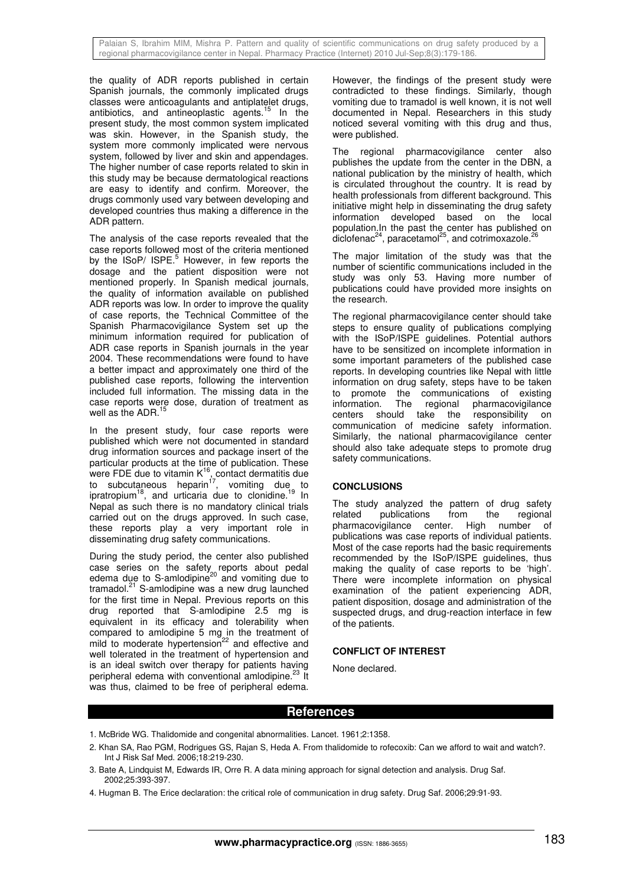Palaian S, Ibrahim MIM, Mishra P. Pattern and quality of scientific communications on drug safety produced by a regional pharmacovigilance center in Nepal. Pharmacy Practice (Internet) 2010 Jul-Sep;8(3):179-186.

the quality of ADR reports published in certain Spanish journals, the commonly implicated drugs classes were anticoagulants and antiplatelet drugs, antibiotics, and antineoplastic agents.<sup>15</sup> In the present study, the most common system implicated was skin. However, in the Spanish study, the system more commonly implicated were nervous system, followed by liver and skin and appendages. The higher number of case reports related to skin in this study may be because dermatological reactions are easy to identify and confirm. Moreover, the drugs commonly used vary between developing and developed countries thus making a difference in the ADR pattern.

The analysis of the case reports revealed that the case reports followed most of the criteria mentioned by the ISoP/ ISPE.<sup>5</sup> However, in few reports the dosage and the patient disposition were not mentioned properly. In Spanish medical journals, the quality of information available on published ADR reports was low. In order to improve the quality of case reports, the Technical Committee of the Spanish Pharmacovigilance System set up the minimum information required for publication of ADR case reports in Spanish journals in the year 2004. These recommendations were found to have a better impact and approximately one third of the published case reports, following the intervention included full information. The missing data in the case reports were dose, duration of treatment as well as the ADR.<sup>15</sup>

In the present study, four case reports were published which were not documented in standard drug information sources and package insert of the particular products at the time of publication. These were FDE due to vitamin  $K^{16}$ , contact dermatitis due to subcutaneous heparin<sup>17</sup>, vomiting due to were  $\frac{1}{2}$  due to virtum 18,  $\frac{1}{2}$  comitting due to clonidine.<sup>19</sup> In ipratropium<sup>18</sup>, and urticaria due to clonidine.<sup>19</sup> In Nepal as such there is no mandatory clinical trials carried out on the drugs approved. In such case, these reports play a very important role in disseminating drug safety communications.

During the study period, the center also published case series on the safety reports about pedal edema due to S-amlodipine $^{20}$  and vomiting due to tramadol.<sup>21</sup> S-amlodipine was a new drug launched for the first time in Nepal. Previous reports on this drug reported that S-amlodipine 2.5 mg is equivalent in its efficacy and tolerability when compared to amlodipine 5 mg in the treatment of mild to moderate hypertension $^{22}$  and effective and well tolerated in the treatment of hypertension and is an ideal switch over therapy for patients having peripheral edema with conventional amlodipine.<sup>23</sup> It was thus, claimed to be free of peripheral edema.

However, the findings of the present study were contradicted to these findings. Similarly, though vomiting due to tramadol is well known, it is not well documented in Nepal. Researchers in this study noticed several vomiting with this drug and thus, were published.

The regional pharmacovigilance center also publishes the update from the center in the DBN, a national publication by the ministry of health, which is circulated throughout the country. It is read by health professionals from different background. This initiative might help in disseminating the drug safety information developed based on the local population.In the past the center has published on  $\frac{1}{2}$ diclofenac<sup>24</sup>, paracetamol<sup>25</sup>, and cotrimoxazole.<sup>26</sup>

The major limitation of the study was that the number of scientific communications included in the study was only 53. Having more number of publications could have provided more insights on the research.

The regional pharmacovigilance center should take steps to ensure quality of publications complying with the ISoP/ISPE guidelines. Potential authors have to be sensitized on incomplete information in some important parameters of the published case reports. In developing countries like Nepal with little information on drug safety, steps have to be taken to promote the communications of existing information. The regional pharmacovigilance centers should take the responsibility on communication of medicine safety information. Similarly, the national pharmacovigilance center should also take adequate steps to promote drug safety communications.

# **CONCLUSIONS**

The study analyzed the pattern of drug safety<br>related publications from the regional publications from the regional<br>iqilance center. High number pharmacovigilance center. High number of publications was case reports of individual patients. Most of the case reports had the basic requirements recommended by the ISoP/ISPE guidelines, thus making the quality of case reports to be 'high'. There were incomplete information on physical examination of the patient experiencing ADR, patient disposition, dosage and administration of the suspected drugs, and drug-reaction interface in few of the patients.

## **CONFLICT OF INTEREST**

None declared.

# **References**

- 1. McBride WG. Thalidomide and congenital abnormalities. Lancet. 1961;2:1358.
- 2. Khan SA, Rao PGM, Rodrigues GS, Rajan S, Heda A. From thalidomide to rofecoxib: Can we afford to wait and watch?. Int J Risk Saf Med. 2006;18:219-230.
- 3. Bate A, Lindquist M, Edwards IR, Orre R. A data mining approach for signal detection and analysis. Drug Saf. 2002;25:393-397.
- 4. Hugman B. The Erice declaration: the critical role of communication in drug safety. Drug Saf. 2006;29:91-93.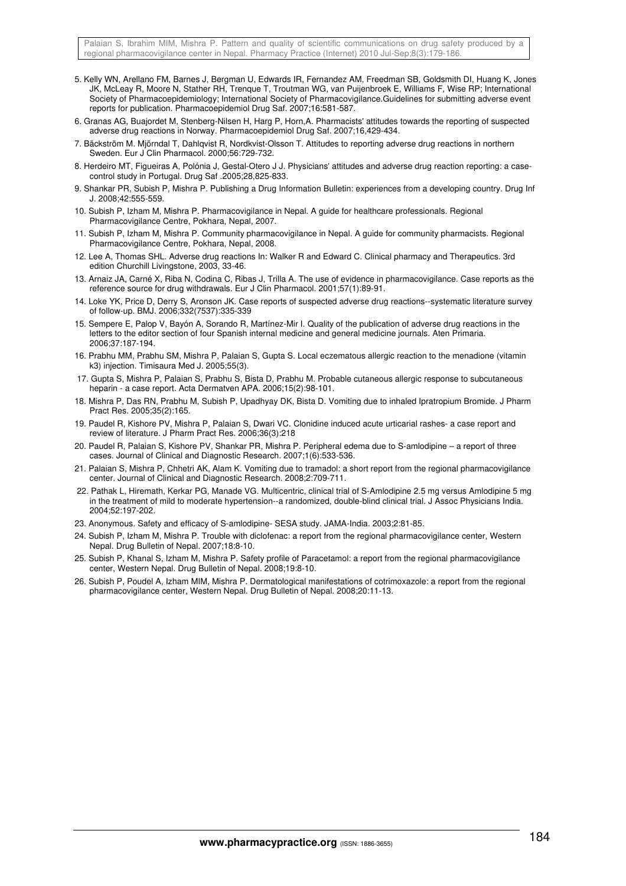- 5. Kelly WN, Arellano FM, Barnes J, Bergman U, Edwards IR, Fernandez AM, Freedman SB, Goldsmith DI, Huang K, Jones JK, McLeay R, Moore N, Stather RH, Trenque T, Troutman WG, van Puijenbroek E, Williams F, Wise RP; International Society of Pharmacoepidemiology; International Society of Pharmacovigilance.Guidelines for submitting adverse event reports for publication. Pharmacoepidemiol Drug Saf. 2007;16:581-587.
- 6. Granas AG, Buajordet M, Stenberg-Nilsen H, Harg P, Horn,A. Pharmacists' attitudes towards the reporting of suspected adverse drug reactions in Norway. Pharmacoepidemiol Drug Saf. 2007;16,429-434.
- 7. Bäckström M. Mjörndal T, Dahlqvist R, Nordkvist-Olsson T. Attitudes to reporting adverse drug reactions in northern Sweden. Eur J Clin Pharmacol. 2000;56:729-732.
- 8. Herdeiro MT, Figueiras A, Polónia J, Gestal-Otero J J. Physicians' attitudes and adverse drug reaction reporting: a casecontrol study in Portugal. Drug Saf .2005;28,825-833.
- 9. Shankar PR, Subish P, Mishra P. Publishing a Drug Information Bulletin: experiences from a developing country. Drug Inf J. 2008;42:555-559.
- 10. Subish P, Izham M, Mishra P. Pharmacovigilance in Nepal. A guide for healthcare professionals. Regional Pharmacovigilance Centre, Pokhara, Nepal, 2007.
- 11. Subish P, Izham M, Mishra P. Community pharmacovigilance in Nepal. A guide for community pharmacists. Regional Pharmacovigilance Centre, Pokhara, Nepal, 2008.
- 12. Lee A, Thomas SHL. Adverse drug reactions In: Walker R and Edward C. Clinical pharmacy and Therapeutics. 3rd edition Churchill Livingstone, 2003, 33-46.
- 13. Arnaiz JA, Carné X, Riba N, Codina C, Ribas J, Trilla A. The use of evidence in pharmacovigilance. Case reports as the reference source for drug withdrawals. Eur J Clin Pharmacol. 2001;57(1):89-91.
- 14. Loke YK, Price D, Derry S, Aronson JK. Case reports of suspected adverse drug reactions--systematic literature survey of follow-up. BMJ. 2006;332(7537):335-339
- 15. Sempere E, Palop V, Bayón A, Sorando R, Martínez-Mir I. Quality of the publication of adverse drug reactions in the letters to the editor section of four Spanish internal medicine and general medicine journals. Aten Primaria. 2006;37:187-194.
- 16. Prabhu MM, Prabhu SM, Mishra P, Palaian S, Gupta S. Local eczematous allergic reaction to the menadione (vitamin k3) injection. Timisaura Med J. 2005;55(3).
- 17. Gupta S, Mishra P, Palaian S, Prabhu S, Bista D, Prabhu M. Probable cutaneous allergic response to subcutaneous heparin - a case report. Acta Dermatven APA. 2006;15(2):98-101.
- 18. Mishra P, Das RN, Prabhu M, Subish P, Upadhyay DK, Bista D. Vomiting due to inhaled Ipratropium Bromide. J Pharm Pract Res. 2005;35(2):165.
- 19. Paudel R, Kishore PV, Mishra P, Palaian S, Dwari VC. Clonidine induced acute urticarial rashes- a case report and review of literature. J Pharm Pract Res. 2006;36(3):218
- 20. Paudel R, Palaian S, Kishore PV, Shankar PR, Mishra P. Peripheral edema due to S-amlodipine a report of three cases. Journal of Clinical and Diagnostic Research. 2007;1(6):533-536.
- 21. Palaian S, Mishra P, Chhetri AK, Alam K. Vomiting due to tramadol: a short report from the regional pharmacovigilance center. Journal of Clinical and Diagnostic Research. 2008;2:709-711.
- 22. Pathak L, Hiremath, Kerkar PG, Manade VG. Multicentric, clinical trial of S-Amlodipine 2.5 mg versus Amlodipine 5 mg in the treatment of mild to moderate hypertension--a randomized, double-blind clinical trial. J Assoc Physicians India. 2004;52:197-202.
- 23. Anonymous. Safety and efficacy of S-amlodipine- SESA study. JAMA-India. 2003;2:81-85.
- 24. Subish P, Izham M, Mishra P. Trouble with diclofenac: a report from the regional pharmacovigilance center, Western Nepal. Drug Bulletin of Nepal. 2007;18:8-10.
- 25. Subish P, Khanal S, Izham M, Mishra P. Safety profile of Paracetamol: a report from the regional pharmacovigilance center, Western Nepal. Drug Bulletin of Nepal. 2008;19:8-10.
- 26. Subish P, Poudel A, Izham MIM, Mishra P. Dermatological manifestations of cotrimoxazole: a report from the regional pharmacovigilance center, Western Nepal. Drug Bulletin of Nepal. 2008;20:11-13.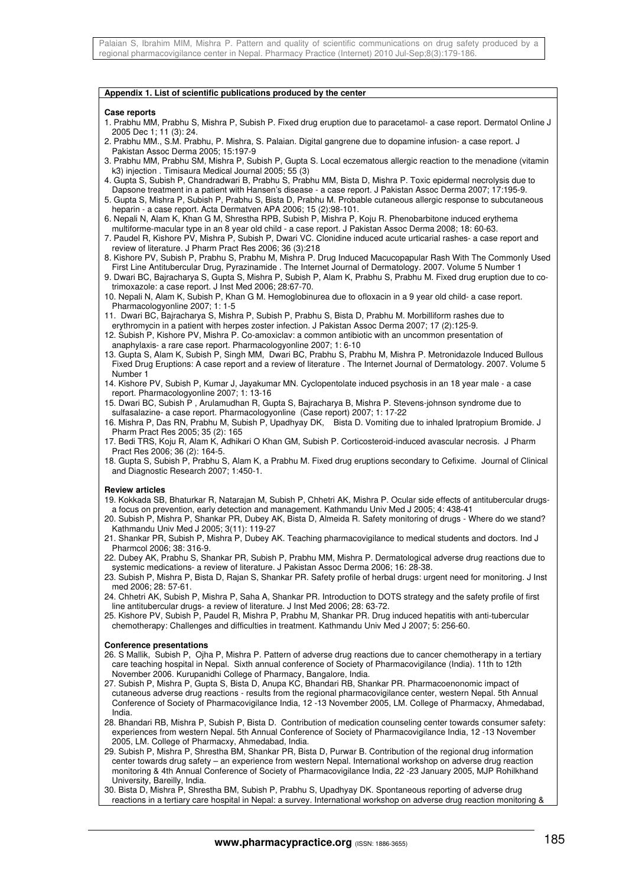## **Appendix 1. List of scientific publications produced by the center**

#### **Case reports**

- 1. Prabhu MM, Prabhu S, Mishra P, Subish P. Fixed drug eruption due to paracetamol- a case report. Dermatol Online J 2005 Dec 1; 11 (3): 24.
- 2. Prabhu MM., S.M. Prabhu, P. Mishra, S. Palaian. Digital gangrene due to dopamine infusion- a case report. J Pakistan Assoc Derma 2005; 15:197-9
- 3. Prabhu MM, Prabhu SM, Mishra P, Subish P, Gupta S. Local eczematous allergic reaction to the menadione (vitamin k3) injection . Timisaura Medical Journal 2005; 55 (3)
- 4. Gupta S, Subish P, Chandradwari B, Prabhu S, Prabhu MM, Bista D, Mishra P. Toxic epidermal necrolysis due to Dapsone treatment in a patient with Hansen's disease - a case report. J Pakistan Assoc Derma 2007; 17:195-9.
- 5. Gupta S, Mishra P, Subish P, Prabhu S, Bista D, Prabhu M. Probable cutaneous allergic response to subcutaneous heparin - a case report. Acta Dermatven APA 2006; 15 (2):98-101.
- 6. Nepali N, Alam K, Khan G M, Shrestha RPB, Subish P, Mishra P, Koju R. Phenobarbitone induced erythema multiforme-macular type in an 8 year old child - a case report. J Pakistan Assoc Derma 2008; 18: 60-63.
- 7. Paudel R, Kishore PV, Mishra P, Subish P, Dwari VC. Clonidine induced acute urticarial rashes- a case report and review of literature. J Pharm Pract Res 2006; 36 (3):218
- 8. Kishore PV, Subish P, Prabhu S, Prabhu M, Mishra P. Drug Induced Macucopapular Rash With The Commonly Used First Line Antitubercular Drug, Pyrazinamide . The Internet Journal of Dermatology. 2007. Volume 5 Number 1
- 9. Dwari BC, Bajracharya S, Gupta S, Mishra P, Subish P, Alam K, Prabhu S, Prabhu M. Fixed drug eruption due to cotrimoxazole: a case report. J Inst Med 2006; 28:67-70.
- 10. Nepali N, Alam K, Subish P, Khan G M. Hemoglobinurea due to ofloxacin in a 9 year old child- a case report. Pharmacologyonline 2007; 1: 1-5
- 11. Dwari BC, Bajracharya S, Mishra P, Subish P, Prabhu S, Bista D, Prabhu M. Morbilliform rashes due to erythromycin in a patient with herpes zoster infection. J Pakistan Assoc Derma 2007; 17 (2):125-9.
- 12. Subish P, Kishore PV, Mishra P. Co-amoxiclav: a common antibiotic with an uncommon presentation of anaphylaxis- a rare case report. Pharmacologyonline 2007; 1: 6-10
- 13. Gupta S, Alam K, Subish P, Singh MM, Dwari BC, Prabhu S, Prabhu M, Mishra P. Metronidazole Induced Bullous Fixed Drug Eruptions: A case report and a review of literature . The Internet Journal of Dermatology. 2007. Volume 5 Number 1
- 14. Kishore PV, Subish P, Kumar J, Jayakumar MN. Cyclopentolate induced psychosis in an 18 year male a case report. Pharmacologyonline 2007; 1: 13-16
- 15. Dwari BC, Subish P , Arulamudhan R, Gupta S, Bajracharya B, Mishra P. Stevens-johnson syndrome due to sulfasalazine- a case report. Pharmacologyonline (Case report) 2007; 1: 17-22
- 16. Mishra P, Das RN, Prabhu M, Subish P, Upadhyay DK, Bista D. Vomiting due to inhaled Ipratropium Bromide. J Pharm Pract Res 2005; 35 (2): 165
- 17. Bedi TRS, Koju R, Alam K, Adhikari O Khan GM, Subish P. Corticosteroid-induced avascular necrosis. J Pharm Pract Res 2006; 36 (2): 164-5.
- 18. Gupta S, Subish P, Prabhu S, Alam K, a Prabhu M. Fixed drug eruptions secondary to Cefixime. Journal of Clinical and Diagnostic Research 2007; 1:450-1.

### **Review articles**

- 19. Kokkada SB, Bhaturkar R, Natarajan M, Subish P, Chhetri AK, Mishra P. Ocular side effects of antitubercular drugsa focus on prevention, early detection and management. Kathmandu Univ Med J 2005; 4: 438-41
- 20. Subish P, Mishra P, Shankar PR, Dubey AK, Bista D, Almeida R. Safety monitoring of drugs Where do we stand? Kathmandu Univ Med J 2005; 3(11): 119-27
- 21. Shankar PR, Subish P, Mishra P, Dubey AK. Teaching pharmacovigilance to medical students and doctors. Ind J Pharmcol 2006; 38: 316-9.
- 22. Dubey AK, Prabhu S, Shankar PR, Subish P, Prabhu MM, Mishra P. Dermatological adverse drug reactions due to systemic medications- a review of literature. J Pakistan Assoc Derma 2006; 16: 28-38.
- 23. Subish P, Mishra P, Bista D, Rajan S, Shankar PR. Safety profile of herbal drugs: urgent need for monitoring. J Inst med 2006; 28: 57-61.
- 24. Chhetri AK, Subish P, Mishra P, Saha A, Shankar PR. Introduction to DOTS strategy and the safety profile of first line antitubercular drugs- a review of literature. J Inst Med 2006; 28: 63-72.
- 25. Kishore PV, Subish P, Paudel R, Mishra P, Prabhu M, Shankar PR. Drug induced hepatitis with anti-tubercular chemotherapy: Challenges and difficulties in treatment. Kathmandu Univ Med J 2007; 5: 256-60.

### **Conference presentations**

- 26. S Mallik, Subish P, Ojha P, Mishra P. Pattern of adverse drug reactions due to cancer chemotherapy in a tertiary care teaching hospital in Nepal. Sixth annual conference of Society of Pharmacovigilance (India). 11th to 12th November 2006. Kurupanidhi College of Pharmacy, Bangalore, India.
- 27. Subish P, Mishra P, Gupta S, Bista D, Anupa KC, Bhandari RB, Shankar PR. Pharmacoenonomic impact of cutaneous adverse drug reactions - results from the regional pharmacovigilance center, western Nepal. 5th Annual Conference of Society of Pharmacovigilance India, 12 -13 November 2005, LM. College of Pharmacxy, Ahmedabad, India.
- 28. Bhandari RB, Mishra P, Subish P, Bista D. Contribution of medication counseling center towards consumer safety: experiences from western Nepal. 5th Annual Conference of Society of Pharmacovigilance India, 12 -13 November 2005, LM. College of Pharmacxy, Ahmedabad, India.
- 29. Subish P, Mishra P, Shrestha BM, Shankar PR, Bista D, Purwar B. Contribution of the regional drug information center towards drug safety – an experience from western Nepal. International workshop on adverse drug reaction monitoring & 4th Annual Conference of Society of Pharmacovigilance India, 22 -23 January 2005, MJP Rohilkhand University, Bareilly, India.
- 30. Bista D, Mishra P, Shrestha BM, Subish P, Prabhu S, Upadhyay DK. Spontaneous reporting of adverse drug reactions in a tertiary care hospital in Nepal: a survey. International workshop on adverse drug reaction monitoring &